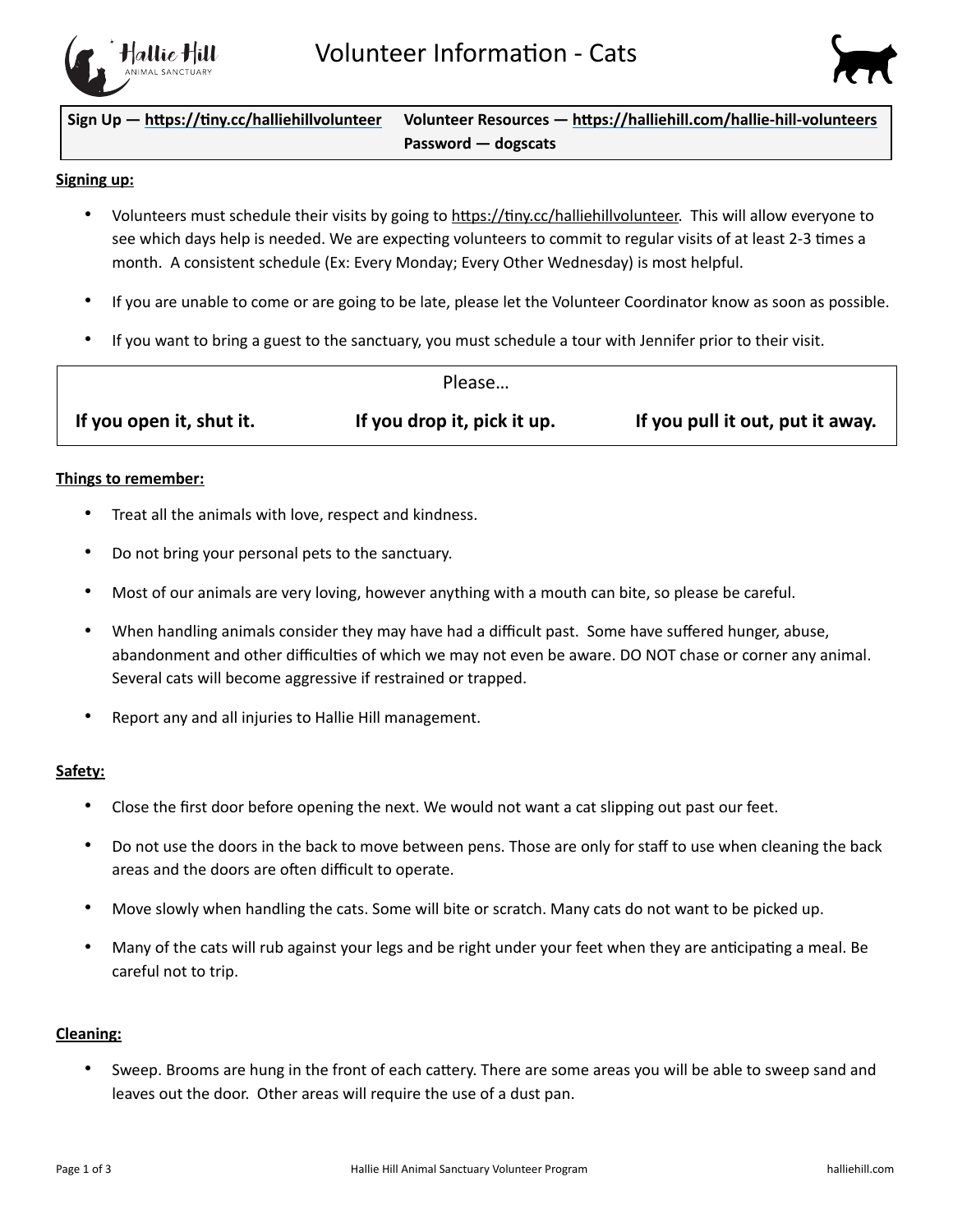



 $Sign Up - <https://tiny.cc/halliehillvolumteer>  Volunter Resources - <https://halliehill.com/hallie-hill-volumteers>$  **Password — dogscats**

### **Signing up:**

- Volunteers must schedule their visits by going to https://tiny.cc/halliehillvolunteer. This will allow everyone to see which days help is needed. We are expecting volunteers to commit to regular visits of at least 2-3 times a month. A consistent schedule (Ex: Every Monday; Every Other Wednesday) is most helpful.
- If you are unable to come or are going to be late, please let the Volunteer Coordinator know as soon as possible.
- If you want to bring a guest to the sanctuary, you must schedule a tour with Jennifer prior to their visit.

|                          | Please                      |                                  |
|--------------------------|-----------------------------|----------------------------------|
| If you open it, shut it. | If you drop it, pick it up. | If you pull it out, put it away. |

### **Things to remember:**

- Treat all the animals with love, respect and kindness.
- Do not bring your personal pets to the sanctuary.
- Most of our animals are very loving, however anything with a mouth can bite, so please be careful.
- When handling animals consider they may have had a difficult past. Some have suffered hunger, abuse, abandonment and other difficulties of which we may not even be aware. DO NOT chase or corner any animal. Several cats will become aggressive if restrained or trapped.
- Report any and all injuries to Hallie Hill management.

### **Safety:**

- Close the first door before opening the next. We would not want a cat slipping out past our feet.
- Do not use the doors in the back to move between pens. Those are only for staff to use when cleaning the back areas and the doors are often difficult to operate.
- Move slowly when handling the cats. Some will bite or scratch. Many cats do not want to be picked up.
- Many of the cats will rub against your legs and be right under your feet when they are anticipating a meal. Be careful not to trip.

## **Cleaning:**

Sweep. Brooms are hung in the front of each cattery. There are some areas you will be able to sweep sand and leaves out the door. Other areas will require the use of a dust pan.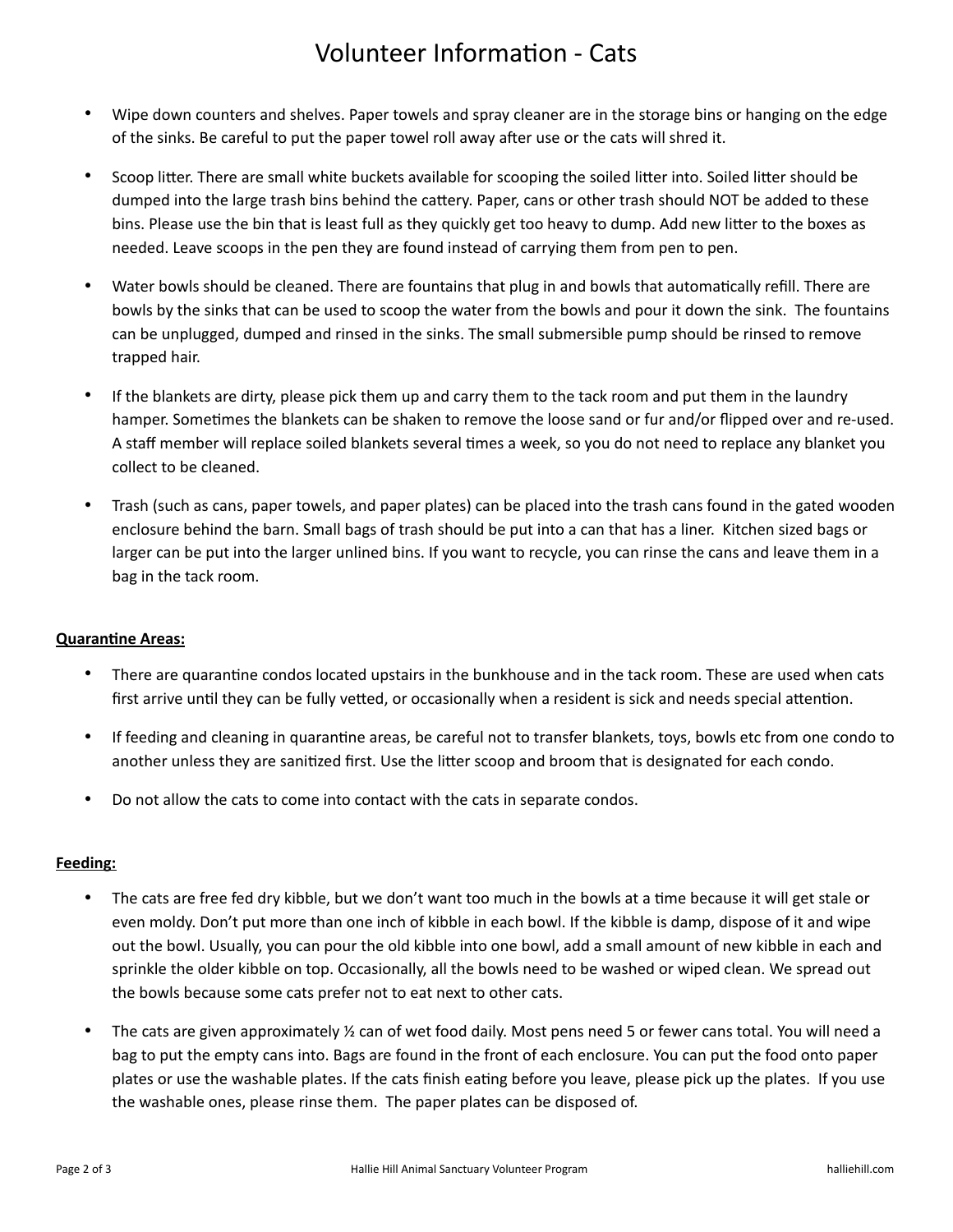# Volunteer Information - Cats

- Wipe down counters and shelves. Paper towels and spray cleaner are in the storage bins or hanging on the edge of the sinks. Be careful to put the paper towel roll away after use or the cats will shred it.
- Scoop litter. There are small white buckets available for scooping the soiled litter into. Soiled litter should be dumped into the large trash bins behind the cattery. Paper, cans or other trash should NOT be added to these bins. Please use the bin that is least full as they quickly get too heavy to dump. Add new litter to the boxes as needed. Leave scoops in the pen they are found instead of carrying them from pen to pen.
- Water bowls should be cleaned. There are fountains that plug in and bowls that automatically refill. There are bowls by the sinks that can be used to scoop the water from the bowls and pour it down the sink. The fountains can be unplugged, dumped and rinsed in the sinks. The small submersible pump should be rinsed to remove trapped hair.
- If the blankets are dirty, please pick them up and carry them to the tack room and put them in the laundry hamper. Sometimes the blankets can be shaken to remove the loose sand or fur and/or flipped over and re-used. A staff member will replace soiled blankets several times a week, so you do not need to replace any blanket you collect to be cleaned.
- Trash (such as cans, paper towels, and paper plates) can be placed into the trash cans found in the gated wooden enclosure behind the barn. Small bags of trash should be put into a can that has a liner. Kitchen sized bags or larger can be put into the larger unlined bins. If you want to recycle, you can rinse the cans and leave them in a bag in the tack room.

## **Quarantine Areas:**

- There are quarantine condos located upstairs in the bunkhouse and in the tack room. These are used when cats first arrive until they can be fully vetted, or occasionally when a resident is sick and needs special attention.
- If feeding and cleaning in quarantine areas, be careful not to transfer blankets, toys, bowls etc from one condo to another unless they are sanitized first. Use the litter scoop and broom that is designated for each condo.
- Do not allow the cats to come into contact with the cats in separate condos.

## **Feeding:**

- The cats are free fed dry kibble, but we don't want too much in the bowls at a time because it will get stale or even moldy. Don't put more than one inch of kibble in each bowl. If the kibble is damp, dispose of it and wipe out the bowl. Usually, you can pour the old kibble into one bowl, add a small amount of new kibble in each and sprinkle the older kibble on top. Occasionally, all the bowls need to be washed or wiped clean. We spread out the bowls because some cats prefer not to eat next to other cats.
- The cats are given approximately  $\frac{y}{2}$  can of wet food daily. Most pens need 5 or fewer cans total. You will need a bag to put the empty cans into. Bags are found in the front of each enclosure. You can put the food onto paper plates or use the washable plates. If the cats finish eating before you leave, please pick up the plates. If you use the washable ones, please rinse them. The paper plates can be disposed of.